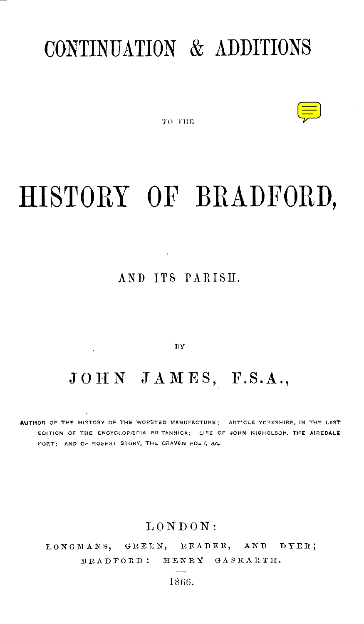# CONTINUATION & ADDITIONS



TO THE

# HISTORY OF BRADFORD,

### AND ITS PARISH.

 $BY$ 

## $J \, O \, H \, N \quad J \, A \, M \, E \, S$ , F.S.A.,

AUTHOR OF THE HISTORY OF THE WORSTED MANUFACTURE ; ARTICLE YORKSHIRE, IN THE LAST EDITION OF THE ENCYCLOPÆDIA BRITANNICA; LIFE OF JOHN NIGHOLSON, THE AIREDALE POET; AND OF ROBERT STORY, THE CRAVEN POET, &c.

#### LONDON :

LONGMANS, GREEN, READER, AND DYER ; BRADFORD: HENRY GASKARTH.

1866 .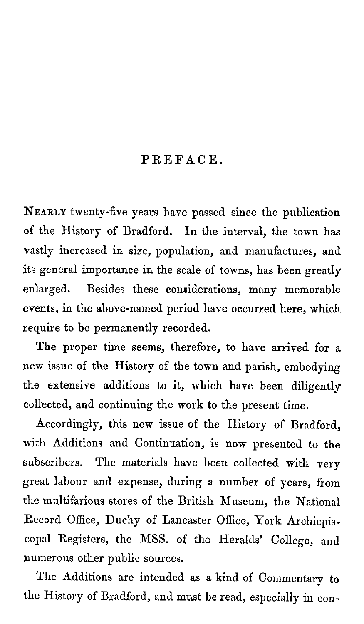### PREFACE.

NEARLY twenty-five years have passed since the publication of the History of Bradford. In the interval, the town has vastly increased in size, population, and manufactures, and its general importance in the scale of towns, has been greatly enlarged. Besides these considerations, many memorable events, in the above-named period have occurred here, which require to be permanently recorded.

The proper time seems, therefore, to have arrived for a new issue of the History of the town and parish, embodying the extensive additions to it, which have been diligently collected, and continuing the work to the present time.

Accordingly, this new issue of the History of Bradford, with Additions and Continuation, is now presented to the subscribers. The materials have been collected with very great labour and expense, during a number of years, from the multifarious stores of the British Museum, the National Record Office, Duchy of Lancaster Office, York Archiepis . copal Registers, the MSS. of the Heralds' College, and numerous other public sources.

The Additions are intended as a kind of Commentary to the History of Bradford, and must be read, especially in con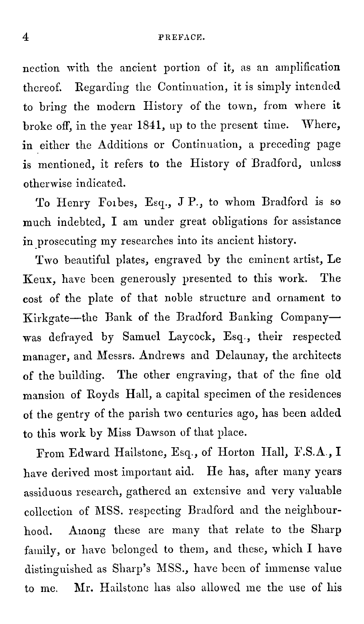nection with the ancient portion of it, as an amplification thereof. Regarding the Continuation, it is simply intended to bring the modern History of the town, from where it broke off, in the year 1841, up to the present time. Where, in either the Additions or Continuation, a preceding page is mentioned, it refers to the History of Bradford, unless otherwise indicated .

To Henry Foibes, Esq., J P., to whom Bradford is so much indebted, I am under great obligations for assistance in prosecuting my researches into its ancient history.

Two beautiful plates, engraved by the eminent artist, Le Keux, have been generously presented to this work . The cost of the plate of that noble structure and ornament to Kirkgate-the Bank of the Bradford Banking Companywas defrayed by Samuel Laycock, Esq., their respected manager, and Messrs . Andrews and Delaunay, the architects of the building. The other engraving, that of the fine old mansion of Royds Hall, a capital specimen of the residences of the gentry of the parish two centuries ago, has been added to this work by Miss Dawson of that place.

From Edward Hailstone, Esq., of Horton Hall, F.S.A., I have derived most important aid. He has, after many years assiduous research, gathered an extensive and very valuable collection of MSS. respecting Bradford and the neighbourhood. Among these are many that relate to the Sharp family, or have belonged to them, and these, which I have distinguished as Sharp's MSS., have been of immense value to me, Mr. Hailstone has also allowed me the use of his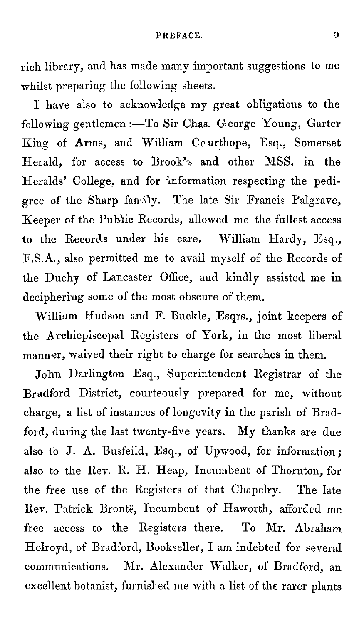rich library, and has made many important suggestions to me whilst preparing the following sheets.

I have also to acknowledge my great obligations to the following gentlemen :- To Sir Chas. George Young, Garter King of Arms, and William Courthope, Esq., Somerset Herald, for access to Brook's and other MSS. in the Heralds' College, and for information respecting the pedigree of the Sharp family. The late Sir Francis Palgrave, Keeper of the Public Records, allowed me the fullest access to the Records under his care. William Hardy, Esq., F.S .A., also permitted me to avail myself of the Records of the Duchy of Lancaster Office, and kindly assisted me in deciphering some of the most obscure of them.

William Hudson and F. Buckle, Esqrs., joint keepers of the Archiepiscopal Registers of York, in the most liberal manner, waived their right to charge for searches in them.

John Darlington Esq., Superintendent Registrar of the Bradford District, courteously prepared for me, without charge, a list of instances of longevity in the parish of Bradford, during the last twenty-five years. My thanks are due also to J. A. Busfeild, Esq., of Upwood, for information; also to the Rev. R. H. Heap, Incumbent of Thornton, for the free use of the Registers of that Chapelry. The late Rev. Patrick Bronte, Incumbent of Haworth, afforded me free access to the Registers there. To Mr. Abraham Holroyd, of Bradford, Bookseller, I am indebted for several communications. Mr. Alexander Walker, of Bradford, an excellent botanist, furnished me with a list of the rarer plants